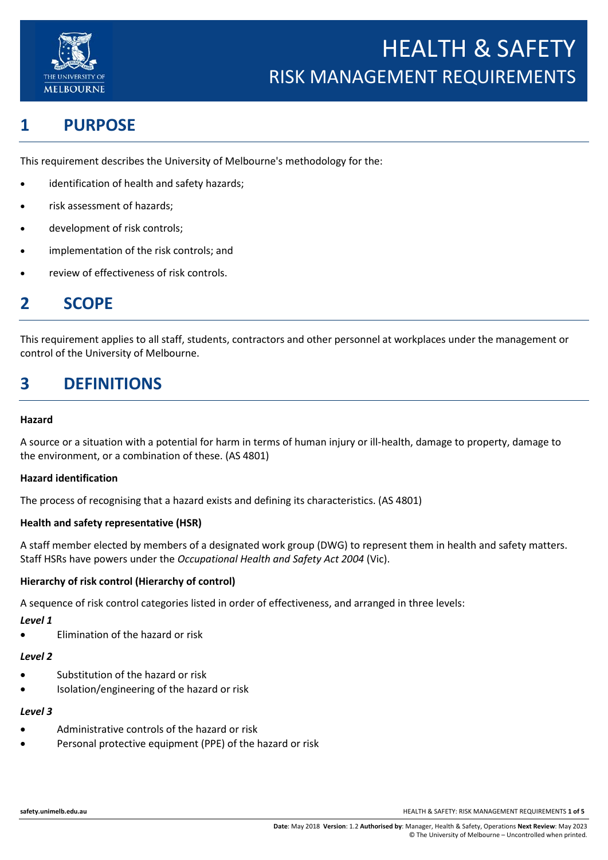

# **1 PURPOSE**

This requirement describes the University of Melbourne's methodology for the:

- identification of health and safety hazards;
- risk assessment of hazards;
- development of risk controls;
- implementation of the risk controls; and
- review of effectiveness of risk controls.

# **2 SCOPE**

This requirement applies to all staff, students, contractors and other personnel at workplaces under the management or control of the University of Melbourne.

# **3 DEFINITIONS**

#### **Hazard**

A source or a situation with a potential for harm in terms of human injury or ill-health, damage to property, damage to the environment, or a combination of these. (AS 4801)

#### **Hazard identification**

The process of recognising that a hazard exists and defining its characteristics. (AS 4801)

#### **Health and safety representative (HSR)**

A staff member elected by members of a designated work group (DWG) to represent them in health and safety matters. Staff HSRs have powers under the *Occupational Health and Safety Act 2004* (Vic).

#### **Hierarchy of risk control (Hierarchy of control)**

A sequence of risk control categories listed in order of effectiveness, and arranged in three levels:

#### *Level 1*

• Elimination of the hazard or risk

#### *Level 2*

- Substitution of the hazard or risk
- Isolation/engineering of the hazard or risk

#### *Level 3*

- Administrative controls of the hazard or risk
- Personal protective equipment (PPE) of the hazard or risk

**safety.unimelb.edu.au** HEALTH & SAFETY: RISK MANAGEMENT REQUIREMENTS **1 of 5**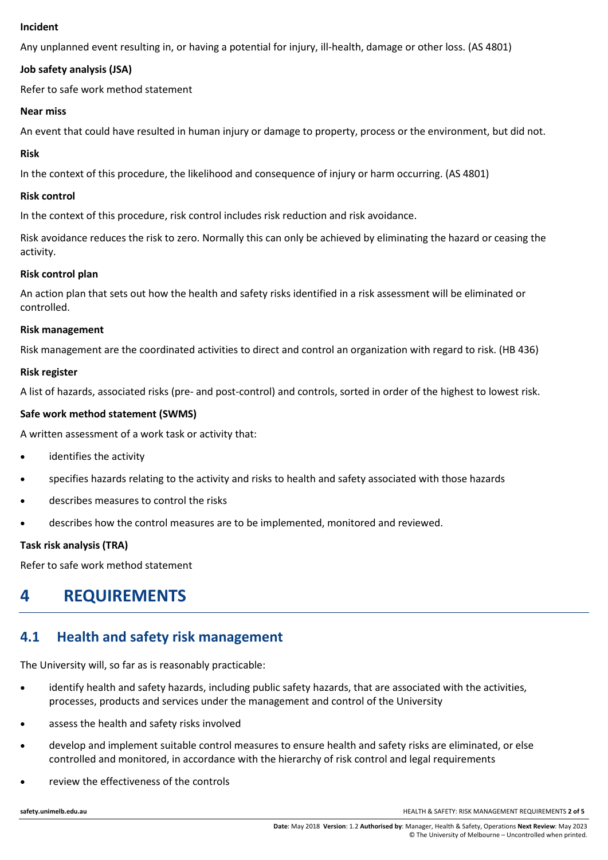#### **Incident**

Any unplanned event resulting in, or having a potential for injury, ill-health, damage or other loss. (AS 4801)

#### **Job safety analysis (JSA)**

Refer to safe work method statement

#### **Near miss**

An event that could have resulted in human injury or damage to property, process or the environment, but did not.

#### **Risk**

In the context of this procedure, the likelihood and consequence of injury or harm occurring. (AS 4801)

#### **Risk control**

In the context of this procedure, risk control includes risk reduction and risk avoidance.

Risk avoidance reduces the risk to zero. Normally this can only be achieved by eliminating the hazard or ceasing the activity.

#### **Risk control plan**

An action plan that sets out how the health and safety risks identified in a risk assessment will be eliminated or controlled.

#### **Risk management**

Risk management are the coordinated activities to direct and control an organization with regard to risk. (HB 436)

#### **Risk register**

A list of hazards, associated risks (pre- and post-control) and controls, sorted in order of the highest to lowest risk.

#### **Safe work method statement (SWMS)**

A written assessment of a work task or activity that:

- identifies the activity
- specifies hazards relating to the activity and risks to health and safety associated with those hazards
- describes measures to control the risks
- describes how the control measures are to be implemented, monitored and reviewed.

#### **Task risk analysis (TRA)**

Refer to safe work method statement

# **4 REQUIREMENTS**

### **4.1 Health and safety risk management**

The University will, so far as is reasonably practicable:

- identify health and safety hazards, including public safety hazards, that are associated with the activities, processes, products and services under the management and control of the University
- assess the health and safety risks involved
- develop and implement suitable control measures to ensure health and safety risks are eliminated, or else controlled and monitored, in accordance with the hierarchy of risk control and legal requirements
- review the effectiveness of the controls

**safety.unimelb.edu.au** HEALTH & SAFETY: RISK MANAGEMENT REQUIREMENTS **2 of 5**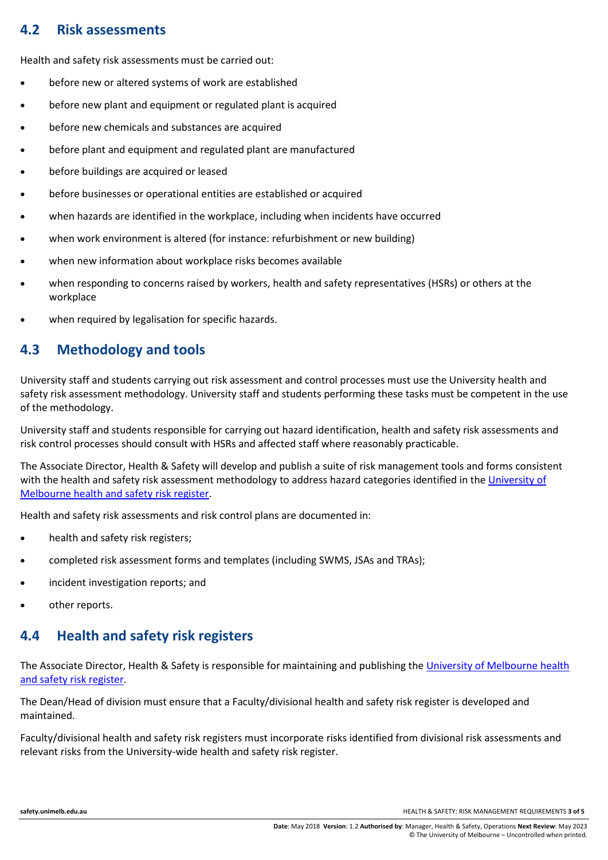### **4.2 Risk assessments**

Health and safety risk assessments must be carried out:

- before new or altered systems of work are established
- before new plant and equipment or regulated plant is acquired
- before new chemicals and substances are acquired
- before plant and equipment and regulated plant are manufactured
- before buildings are acquired or leased
- before businesses or operational entities are established or acquired
- when hazards are identified in the workplace, including when incidents have occurred
- when work environment is altered (for instance: refurbishment or new building)
- when new information about workplace risks becomes available
- when responding to concerns raised by workers, health and safety representatives (HSRs) or others at the workplace
- when required by legalisation for specific hazards.

## **4.3 Methodology and tools**

University staff and students carrying out risk assessment and control processes must use the University health and safety risk assessment methodology. University staff and students performing these tasks must be competent in the use of the methodology.

University staff and students responsible for carrying out hazard identification, health and safety risk assessments and risk control processes should consult with HSRs and affected staff where reasonably practicable.

The Associate Director, Health & Safety will develop and publish a suite of risk management tools and forms consistent with the health and safety risk assessment methodology to address hazard categories identified in the [University of](http://safety.unimelb.edu.au/__data/assets/word_doc/0003/1938036/university-of-melbourne-health-and-safety-risk-register.docx)  [Melbourne health and safety risk register.](http://safety.unimelb.edu.au/__data/assets/word_doc/0003/1938036/university-of-melbourne-health-and-safety-risk-register.docx)

Health and safety risk assessments and risk control plans are documented in:

- health and safety risk registers;
- completed risk assessment forms and templates (including SWMS, JSAs and TRAs);
- incident investigation reports; and
- other reports.

## **4.4 Health and safety risk registers**

The Associate Director, Health & Safety is responsible for maintaining and publishing the [University of Melbourne health](http://safety.unimelb.edu.au/__data/assets/word_doc/0003/1938036/university-of-melbourne-health-and-safety-risk-register.docx)  [and safety risk register.](http://safety.unimelb.edu.au/__data/assets/word_doc/0003/1938036/university-of-melbourne-health-and-safety-risk-register.docx)

The Dean/Head of division must ensure that a Faculty/divisional health and safety risk register is developed and maintained.

Faculty/divisional health and safety risk registers must incorporate risks identified from divisional risk assessments and relevant risks from the University-wide health and safety risk register.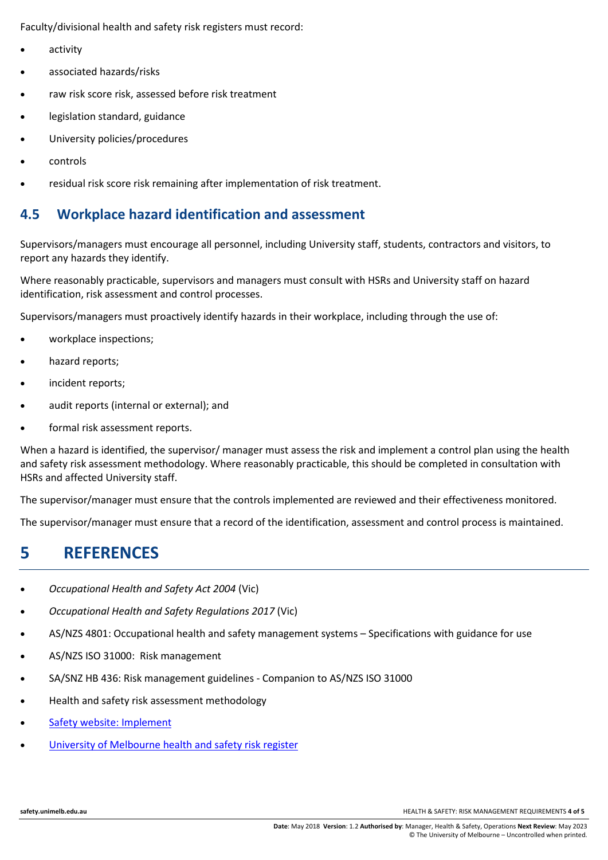Faculty/divisional health and safety risk registers must record:

- activity
- associated hazards/risks
- raw risk score risk, assessed before risk treatment
- legislation standard, guidance
- University policies/procedures
- controls
- residual risk score risk remaining after implementation of risk treatment.

### **4.5 Workplace hazard identification and assessment**

Supervisors/managers must encourage all personnel, including University staff, students, contractors and visitors, to report any hazards they identify.

Where reasonably practicable, supervisors and managers must consult with HSRs and University staff on hazard identification, risk assessment and control processes.

Supervisors/managers must proactively identify hazards in their workplace, including through the use of:

- workplace inspections;
- hazard reports;
- incident reports;
- audit reports (internal or external); and
- formal risk assessment reports.

When a hazard is identified, the supervisor/ manager must assess the risk and implement a control plan using the health and safety risk assessment methodology. Where reasonably practicable, this should be completed in consultation with HSRs and affected University staff.

The supervisor/manager must ensure that the controls implemented are reviewed and their effectiveness monitored.

The supervisor/manager must ensure that a record of the identification, assessment and control process is maintained.

## **5 REFERENCES**

- *Occupational Health and Safety Act 2004* (Vic)
- *Occupational Health and Safety Regulations 2017* (Vic)
- AS/NZS 4801: Occupational health and safety management systems Specifications with guidance for use
- AS/NZS ISO 31000: Risk management
- SA/SNZ HB 436: Risk management guidelines Companion to AS/NZS ISO 31000
- Health and safety risk assessment methodology
- [Safety website: Implement](https://safety.unimelb.edu.au/management#implement)
- [University of Melbourne health and safety risk register](http://safety.unimelb.edu.au/__data/assets/word_doc/0003/1938036/university-of-melbourne-health-and-safety-risk-register.docx)

**safety.unimelb.edu.au** HEALTH & SAFETY: RISK MANAGEMENT REQUIREMENTS **4 of 5**